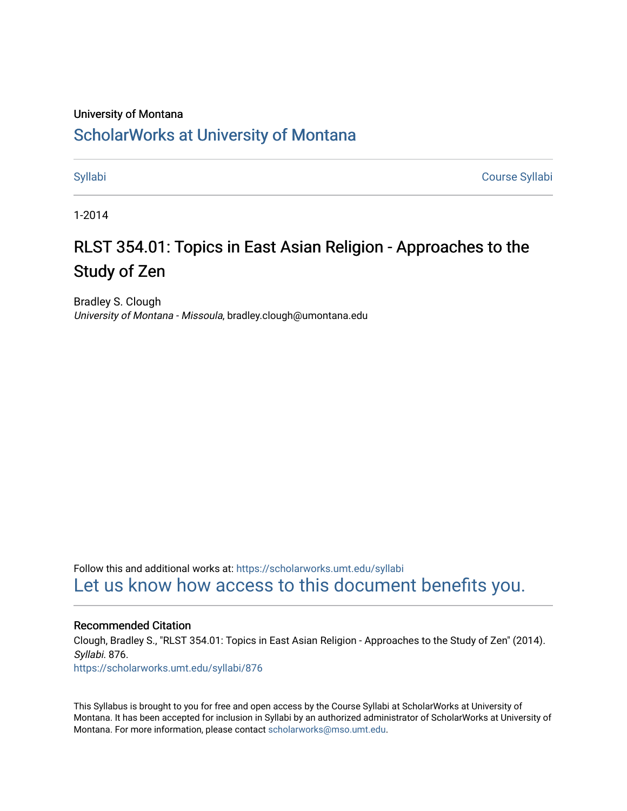### University of Montana

# [ScholarWorks at University of Montana](https://scholarworks.umt.edu/)

[Syllabi](https://scholarworks.umt.edu/syllabi) [Course Syllabi](https://scholarworks.umt.edu/course_syllabi) 

1-2014

# RLST 354.01: Topics in East Asian Religion - Approaches to the Study of Zen

Bradley S. Clough University of Montana - Missoula, bradley.clough@umontana.edu

Follow this and additional works at: [https://scholarworks.umt.edu/syllabi](https://scholarworks.umt.edu/syllabi?utm_source=scholarworks.umt.edu%2Fsyllabi%2F876&utm_medium=PDF&utm_campaign=PDFCoverPages)  [Let us know how access to this document benefits you.](https://goo.gl/forms/s2rGfXOLzz71qgsB2) 

#### Recommended Citation

Clough, Bradley S., "RLST 354.01: Topics in East Asian Religion - Approaches to the Study of Zen" (2014). Syllabi. 876.

[https://scholarworks.umt.edu/syllabi/876](https://scholarworks.umt.edu/syllabi/876?utm_source=scholarworks.umt.edu%2Fsyllabi%2F876&utm_medium=PDF&utm_campaign=PDFCoverPages) 

This Syllabus is brought to you for free and open access by the Course Syllabi at ScholarWorks at University of Montana. It has been accepted for inclusion in Syllabi by an authorized administrator of ScholarWorks at University of Montana. For more information, please contact [scholarworks@mso.umt.edu.](mailto:scholarworks@mso.umt.edu)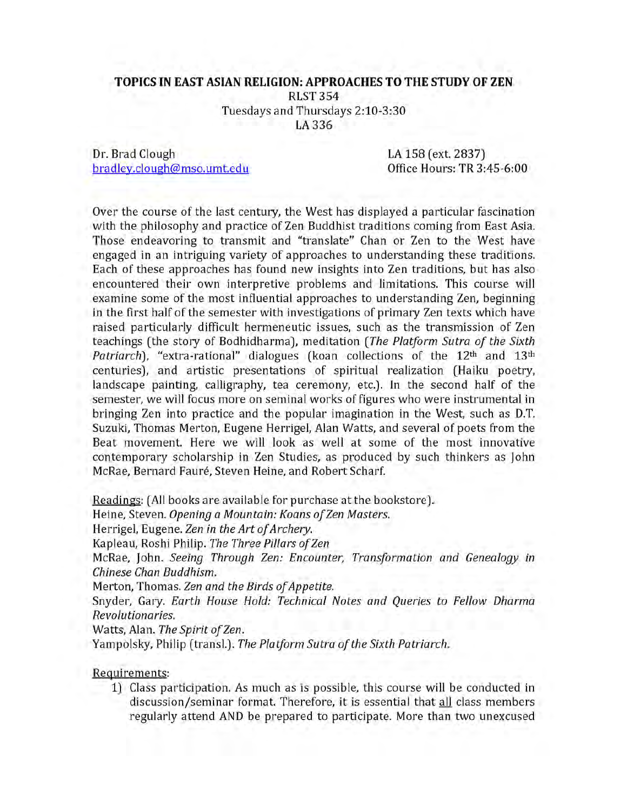#### **TOPICS IN EAST ASIAN RELIGION: APPROACHES TO THE STUDY OF ZEN**

RLST354

Tuesdays and Thursdays 2:10-3:30

LA 336

Dr. Brad Clough LA 158 (ext. 2837) bradley.clough@mso.umt.edu bradley.clough@mso.umt.edu

Over the course of the last century, the West has displayed a particular fascination with the philosophy and practice of Zen Buddhist traditions coming from East Asia. Those endeavoring to transmit and "translate" Chan or Zen to the West have engaged in an intriguing variety of approaches to understanding these traditions. Each of these approaches has found new insights into Zen traditions, but has also encountered their own interpretive problems and limitations. This course will examine some of the most influential approaches to understanding Zen, beginning in the first half of the semester with investigations of primary Zen texts which have raised particularly difficult hermeneutic issues, such as the transmission of Zen teachings (the story of Bodhidharma), meditation (The Platform Sutra of the Sixth *Patriarch*), "extra-rational" dialogues (koan collections of the 12<sup>th</sup> and 13<sup>th</sup> centuries), and artistic presentations of spiritual realization (Haiku poetry, landscape painting, calligraphy, tea ceremony, etc.). In the second half of the semester, we will focus more on seminal works of figures who were instrumental in bringing Zen into practice and the popular imagination in the West, such as D.T. Suzuki, Thomas Merton, Eugene Herrigel, Alan Watts, and several of poets from the Beat movement. Here we will look as well at some of the most innovative contemporary scholarship in Zen Studies, as produced by such thinkers as John McRae, Bernard Fauré, Steven Heine, and Robert Scharf.

Readings: (All books are available for purchase at the bookstore).

Heine, Steven. *Opening a Mountain: Koans of Zen Masters.* 

Herrigel, Eugene. Zen in the Art of Archery.

Kapleau, Roshi Philip. The Three Pillars of Zen

McRae, John. *Seeing Through Zen: Encounter, Transformation and Genealogy in Chinese Chan Buddhism.*

Merton, Thomas. Zen and the Birds of Appetite.

Snyder, Gary. *Earth House Hold: Technical Notes and Queries to Fellow Dharma Revolutionaries.*

Watts, Alan. The Spirit of Zen.

Yampolsky, Philip (transl.). *The Platform Sutra of the Sixth Patriarch*.

### Requirements:

1) Class participation. As much as is possible, this course will be conducted in discussion/seminar format. Therefore, it is essential that all class members regularly attend AND be prepared to participate. More than two unexcused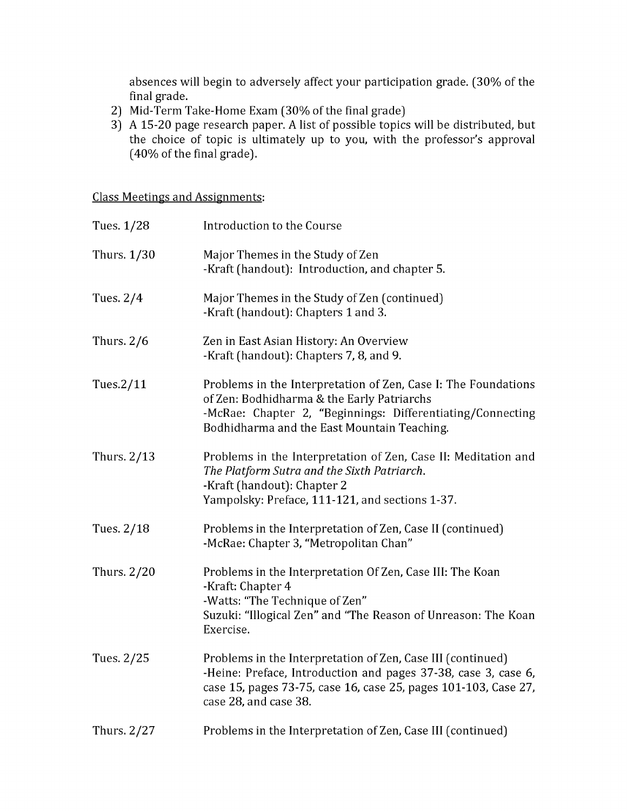absences will begin to adversely affect your participation grade. (30% of the final grade.

- 2) Mid-Term Take-Home Exam (30% of the final grade)
- 3) A 15-20 page research paper. A list of possible topics will be distributed, but the choice of topic is ultimately up to you, with the professor's approval (40% of the final grade).

Class Meetings and Assignments:

| Tues. 1/28   | Introduction to the Course                                                                                                                                                                                                |
|--------------|---------------------------------------------------------------------------------------------------------------------------------------------------------------------------------------------------------------------------|
| Thurs. 1/30  | Major Themes in the Study of Zen<br>-Kraft (handout): Introduction, and chapter 5.                                                                                                                                        |
| Tues. 2/4    | Major Themes in the Study of Zen (continued)<br>-Kraft (handout): Chapters 1 and 3.                                                                                                                                       |
| Thurs. $2/6$ | Zen in East Asian History: An Overview<br>-Kraft (handout): Chapters 7, 8, and 9.                                                                                                                                         |
| Tues 2/11    | Problems in the Interpretation of Zen, Case I: The Foundations<br>of Zen: Bodhidharma & the Early Patriarchs<br>-McRae: Chapter 2, "Beginnings: Differentiating/Connecting<br>Bodhidharma and the East Mountain Teaching. |
| Thurs. 2/13  | Problems in the Interpretation of Zen, Case II: Meditation and<br>The Platform Sutra and the Sixth Patriarch.<br>-Kraft (handout): Chapter 2<br>Yampolsky: Preface, 111-121, and sections 1-37.                           |
| Tues. 2/18   | Problems in the Interpretation of Zen, Case II (continued)<br>-McRae: Chapter 3, "Metropolitan Chan"                                                                                                                      |
| Thurs. 2/20  | Problems in the Interpretation Of Zen, Case III: The Koan<br>-Kraft: Chapter 4<br>-Watts: "The Technique of Zen"<br>Suzuki: "Illogical Zen" and "The Reason of Unreason: The Koan<br>Exercise.                            |
| Tues. 2/25   | Problems in the Interpretation of Zen, Case III (continued)<br>-Heine: Preface, Introduction and pages 37-38, case 3, case 6,<br>case 15, pages 73-75, case 16, case 25, pages 101-103, Case 27,<br>case 28, and case 38. |
| Thurs. 2/27  | Problems in the Interpretation of Zen, Case III (continued)                                                                                                                                                               |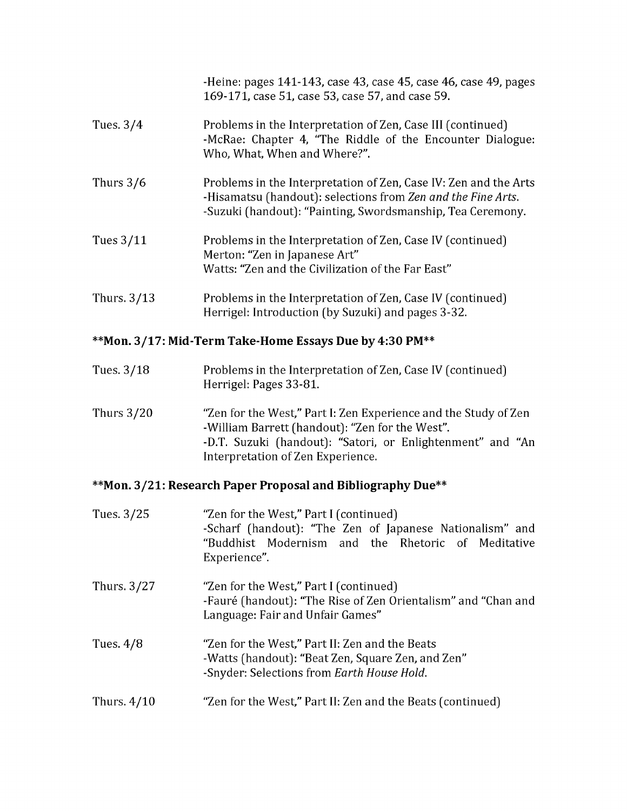|               | -Heine: pages 141-143, case 43, case 45, case 46, case 49, pages<br>169-171, case 51, case 53, case 57, and case 59.                                                                           |
|---------------|------------------------------------------------------------------------------------------------------------------------------------------------------------------------------------------------|
| Tues. $3/4$   | Problems in the Interpretation of Zen, Case III (continued)<br>-McRae: Chapter 4, "The Riddle of the Encounter Dialogue:<br>Who, What, When and Where?".                                       |
| Thurs $3/6$   | Problems in the Interpretation of Zen, Case IV: Zen and the Arts<br>-Hisamatsu (handout): selections from Zen and the Fine Arts.<br>-Suzuki (handout): "Painting, Swordsmanship, Tea Ceremony. |
| Tues 3/11     | Problems in the Interpretation of Zen, Case IV (continued)<br>Merton: "Zen in Japanese Art"<br>Watts: "Zen and the Civilization of the Far East"                                               |
| Thurs. $3/13$ | Problems in the Interpretation of Zen, Case IV (continued)<br>Herrigel: Introduction (by Suzuki) and pages 3-32.                                                                               |

# **\*\*Mon. 3/17: Mid-Term Take-Home Essays Due by 4:30 PM\*\***

| Tues. 3/18   | Problems in the Interpretation of Zen, Case IV (continued)<br>Herrigel: Pages 33-81.                                                                                                                                  |
|--------------|-----------------------------------------------------------------------------------------------------------------------------------------------------------------------------------------------------------------------|
| Thurs $3/20$ | "Zen for the West," Part I: Zen Experience and the Study of Zen<br>-William Barrett (handout): "Zen for the West".<br>-D.T. Suzuki (handout): "Satori, or Enlightenment" and "An<br>Interpretation of Zen Experience. |

## **\*\*Mon. 3/21: Research Paper Proposal and Bibliography Due\*\***

| Tues 3/25     | "Zen for the West," Part I (continued)<br>-Scharf (handout): "The Zen of Japanese Nationalism" and<br>"Buddhist Modernism and the Rhetoric of Meditative<br>Experience". |
|---------------|--------------------------------------------------------------------------------------------------------------------------------------------------------------------------|
| Thurs. 3/27   | "Zen for the West," Part I (continued)<br>-Fauré (handout): "The Rise of Zen Orientalism" and "Chan and<br>Language: Fair and Unfair Games"                              |
| Tues. $4/8$   | "Zen for the West," Part II: Zen and the Beats<br>-Watts (handout): "Beat Zen, Square Zen, and Zen"<br>-Snyder: Selections from Earth House Hold.                        |
| Thurs. $4/10$ | "Zen for the West," Part II: Zen and the Beats (continued)                                                                                                               |